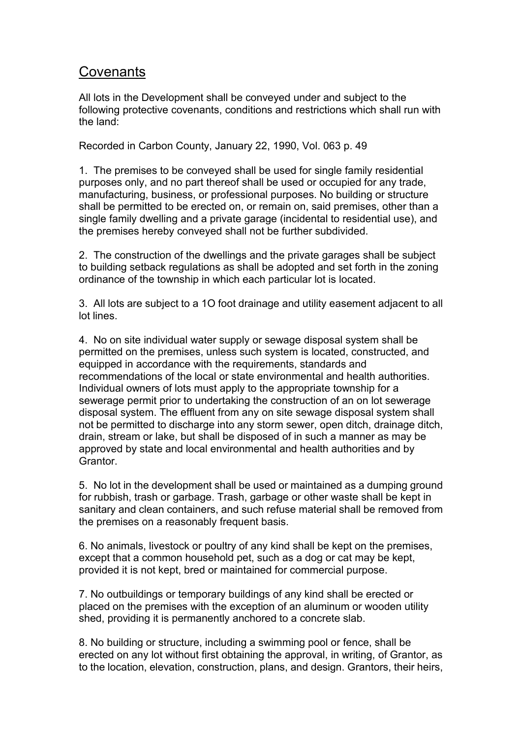## **Covenants**

All lots in the Development shall be conveyed under and subject to the following protective covenants, conditions and restrictions which shall run with the land:

Recorded in Carbon County, January 22, 1990, Vol. 063 p. 49

1. The premises to be conveyed shall be used for single family residential purposes only, and no part thereof shall be used or occupied for any trade, manufacturing, business, or professional purposes. No building or structure shall be permitted to be erected on, or remain on, said premises, other than a single family dwelling and a private garage (incidental to residential use), and the premises hereby conveyed shall not be further subdivided.

2. The construction of the dwellings and the private garages shall be subject to building setback regulations as shall be adopted and set forth in the zoning ordinance of the township in which each particular lot is located.

3. All lots are subject to a 1O foot drainage and utility easement adjacent to all lot lines.

4. No on site individualwater supply or sewage disposal system shall be permitted on the premises, unless such system is located, constructed, and equipped in accordance with the requirements, standards and recommendations of the local or state environmental and health authorities. Individual owners of lots must apply to the appropriate township for a sewerage permit prior to undertaking the construction of an on lot sewerage disposal system. The effluent from any on site sewage disposal system shall not be permitted to discharge into any storm sewer, open ditch, drainage ditch, drain, stream or lake, but shall be disposed of in such a manner as may be approved by state and local environmental and health authorities and by Grantor.

5. No lot in the development shall be used or maintained as a dumping ground for rubbish, trash or garbage. Trash, garbage or other waste shall be kept in sanitary and clean containers, and such refuse material shall be removed from the premises on a reasonably frequent basis.

6. No animals, livestock or poultry of any kind shall be kept on the premises, except that a common household pet, such as a dog or cat may be kept, provided it is not kept, bred or maintained for commercial purpose.

7. No outbuildings or temporary buildings of any kind shall be erected or placed on the premises with the exception of an aluminum or wooden utility shed, providing it is permanently anchored to a concrete slab.

8. No building or structure, including a swimming pool or fence, shall be erected on any lot without first obtaining the approval, in writing, of Grantor, as to the location, elevation, construction, plans, and design. Grantors, their heirs,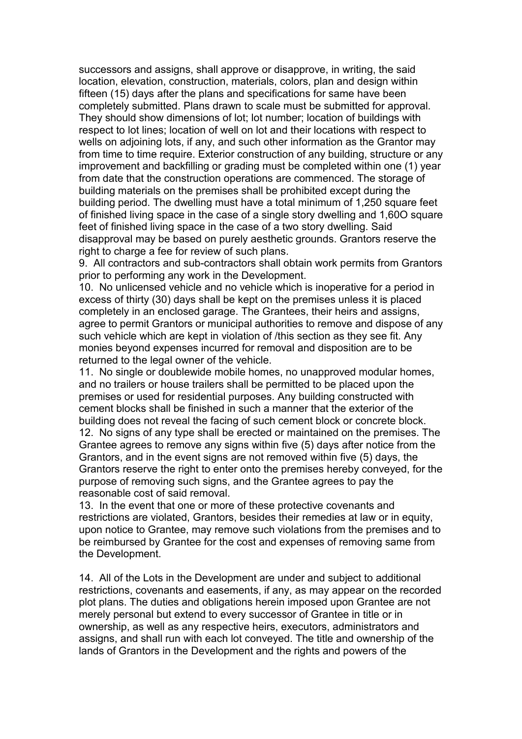successors and assigns, shall approve or disapprove, in writing, the said location, elevation, construction, materials, colors, plan and design within fifteen (15) days after the plans and specifications for same have been completely submitted. Plans drawn to scale must be submitted for approval. They should show dimensions of lot; lot number; location of buildings with respect to lot lines; location of well on lot and their locations with respect to wells on adjoining lots, if any, and such other information as the Grantor may from time to time require. Exterior construction of any building, structure or any improvement and backfilling or grading must be completed within one (1) year from date that the construction operations are commenced. The storage of building materials on the premises shall be prohibited except during the building period. The dwelling must have a total minimum of 1,250 square feet of finished living space in the case of a single story dwelling and 1,60O square feet of finished living space in the case of a two story dwelling. Said disapproval may be based on purely aesthetic grounds. Grantors reserve the right to charge a fee for review of such plans.

9. All contractors and sub-contractors shall obtain work permits from Grantors prior to performing any work in the Development.

10. No unlicensed vehicle and no vehicle which is inoperative for a period in excess of thirty (30) days shall be kept on the premises unless it is placed completely in an enclosed garage. The Grantees, their heirs and assigns, agree to permit Grantors or municipal authorities to remove and dispose of any such vehicle which are kept in violation of /this section as they see fit. Any monies beyond expenses incurred for removal and disposition are to be returned to the legal owner of the vehicle.

11. No single or doublewide mobile homes, no unapproved modular homes, and no trailers or house trailers shall be permitted to be placed upon the premises or used for residential purposes. Any building constructed with cement blocks shall be finished in such a manner that the exterior of the building does not reveal the facing of such cement block or concrete block. 12. No signs of any type shall be erected or maintained on the premises. The Grantee agrees to remove any signs within five (5) days after notice from the

Grantors, and in the event signs are not removed within five (5) days, the Grantors reserve the right to enter onto the premises hereby conveyed, for the purpose of removing such signs, and the Grantee agrees to pay the reasonable cost of said removal.

13. In the event that one or more of these protective covenants and restrictions are violated, Grantors, besides their remedies at law or in equity, upon notice to Grantee, may remove such violations from the premises and to be reimbursed by Grantee for the cost and expenses of removing same from the Development.

14. All of the Lots in the Development are under and subject to additional restrictions, covenants and easements, if any, as may appear on the recorded plot plans. The duties and obligations herein imposed upon Grantee are not merely personal but extend to every successor of Grantee in title or in ownership, as well as any respective heirs, executors, administrators and assigns, and shall run with each lot conveyed. The title and ownership of the lands of Grantors in the Development and the rights and powers of the